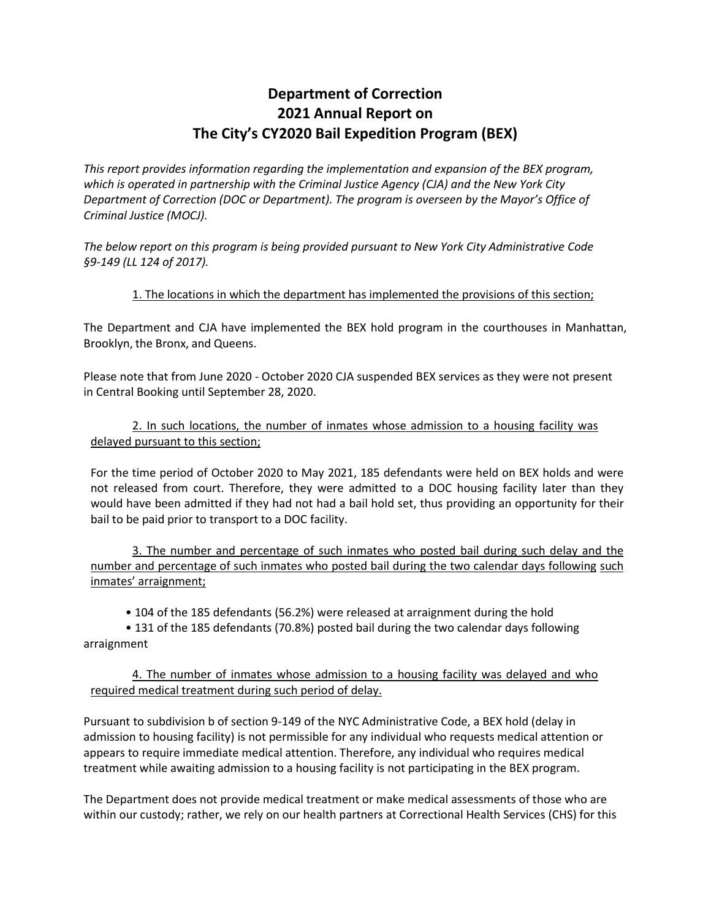## **Department of Correction 2021 Annual Report on The City's CY2020 Bail Expedition Program (BEX)**

*This report provides information regarding the implementation and expansion of the BEX program, which is operated in partnership with the Criminal Justice Agency (CJA) and the New York City Department of Correction (DOC or Department). The program is overseen by the Mayor's Office of Criminal Justice (MOCJ).*

*The below report on this program is being provided pursuant to New York City Administrative Code §9‐149 (LL 124 of 2017).* 

## 1. The locations in which the department has implemented the provisions of this section;

The Department and CJA have implemented the BEX hold program in the courthouses in Manhattan, Brooklyn, the Bronx, and Queens.

Please note that from June 2020 - October 2020 CJA suspended BEX services as they were not present in Central Booking until September 28, 2020.

## 2. In such locations, the number of inmates whose admission to a housing facility was delayed pursuant to this section;

For the time period of October 2020 to May 2021, 185 defendants were held on BEX holds and were not released from court. Therefore, they were admitted to a DOC housing facility later than they would have been admitted if they had not had a bail hold set, thus providing an opportunity for their bail to be paid prior to transport to a DOC facility.

3. The number and percentage of such inmates who posted bail during such delay and the number and percentage of such inmates who posted bail during the two calendar days following such inmates' arraignment;

• 104 of the 185 defendants (56.2%) were released at arraignment during the hold

• 131 of the 185 defendants (70.8%) posted bail during the two calendar days following arraignment

## 4. The number of inmates whose admission to a housing facility was delayed and who required medical treatment during such period of delay.

Pursuant to subdivision b of section 9-149 of the NYC Administrative Code, a BEX hold (delay in admission to housing facility) is not permissible for any individual who requests medical attention or appears to require immediate medical attention. Therefore, any individual who requires medical treatment while awaiting admission to a housing facility is not participating in the BEX program.

The Department does not provide medical treatment or make medical assessments of those who are within our custody; rather, we rely on our health partners at Correctional Health Services (CHS) for this